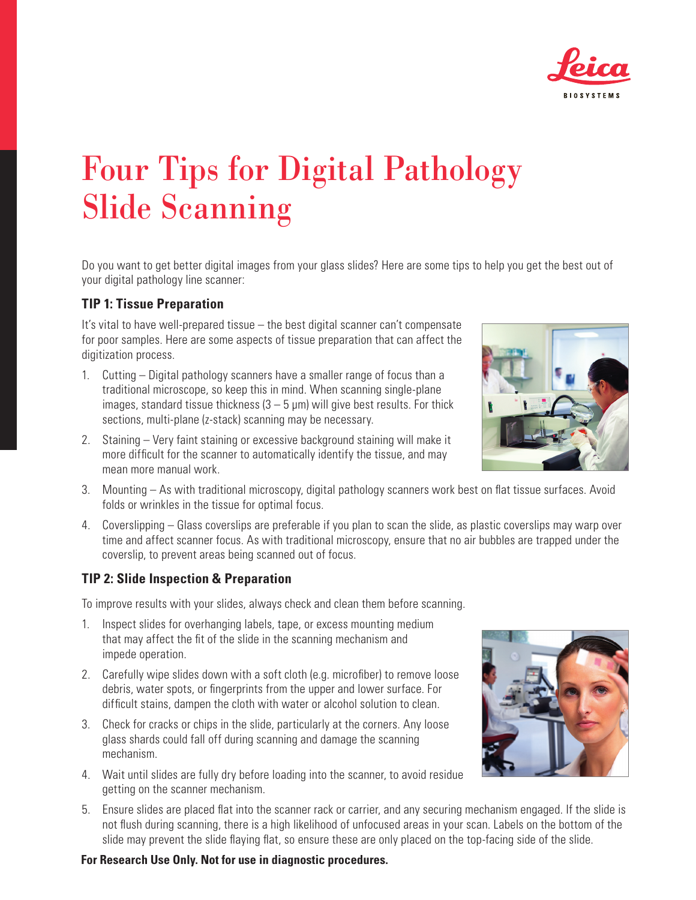

# Four Tips for Digital Pathology Slide Scanning

Do you want to get better digital images from your glass slides? Here are some tips to help you get the best out of your digital pathology line scanner:

## **TIP 1: Tissue Preparation**

It's vital to have well-prepared tissue – the best digital scanner can't compensate for poor samples. Here are some aspects of tissue preparation that can affect the digitization process.

- 1. Cutting Digital pathology scanners have a smaller range of focus than a traditional microscope, so keep this in mind. When scanning single-plane images, standard tissue thickness  $(3 - 5 \mu m)$  will give best results. For thick sections, multi-plane (z-stack) scanning may be necessary.
- 2. Staining Very faint staining or excessive background staining will make it more difficult for the scanner to automatically identify the tissue, and may mean more manual work.
- 3. Mounting As with traditional microscopy, digital pathology scanners work best on flat tissue surfaces. Avoid folds or wrinkles in the tissue for optimal focus.
- 4. Coverslipping Glass coverslips are preferable if you plan to scan the slide, as plastic coverslips may warp over time and affect scanner focus. As with traditional microscopy, ensure that no air bubbles are trapped under the coverslip, to prevent areas being scanned out of focus.

### **TIP 2: Slide Inspection & Preparation**

To improve results with your slides, always check and clean them before scanning.

- 1. Inspect slides for overhanging labels, tape, or excess mounting medium that may affect the fit of the slide in the scanning mechanism and impede operation.
- 2. Carefully wipe slides down with a soft cloth (e.g. microfiber) to remove loose debris, water spots, or fingerprints from the upper and lower surface. For difficult stains, dampen the cloth with water or alcohol solution to clean.
- 3. Check for cracks or chips in the slide, particularly at the corners. Any loose glass shards could fall off during scanning and damage the scanning mechanism.
- 4. Wait until slides are fully dry before loading into the scanner, to avoid residue getting on the scanner mechanism.
- 5. Ensure slides are placed flat into the scanner rack or carrier, and any securing mechanism engaged. If the slide is not flush during scanning, there is a high likelihood of unfocused areas in your scan. Labels on the bottom of the slide may prevent the slide flaying flat, so ensure these are only placed on the top-facing side of the slide.

#### **For Research Use Only. Not for use in diagnostic procedures.**